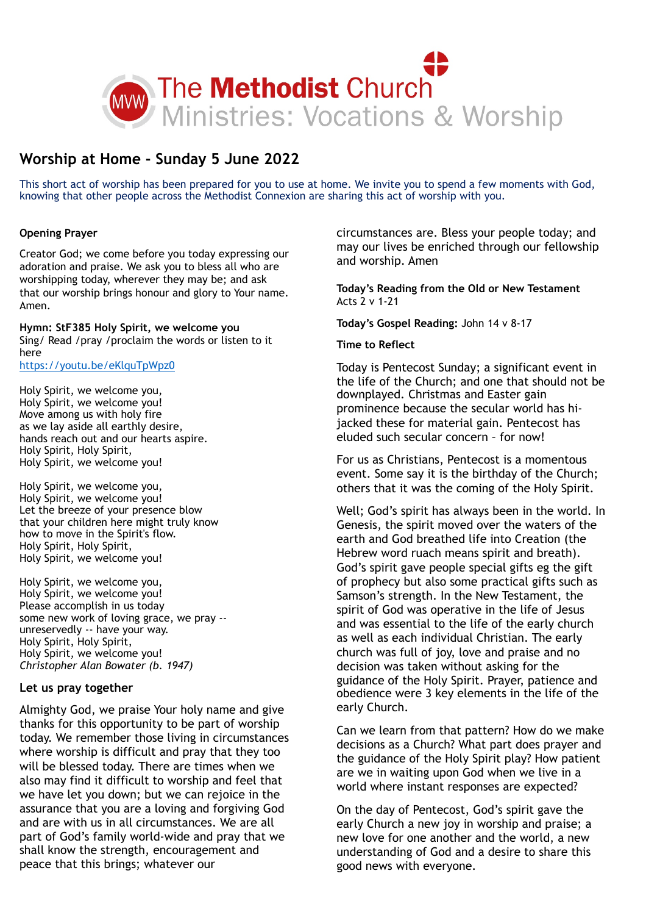

# **Worship at Home - Sunday 5 June 2022**

This short act of worship has been prepared for you to use at home. We invite you to spend a few moments with God, knowing that other people across the Methodist Connexion are sharing this act of worship with you.

# **Opening Prayer**

Creator God; we come before you today expressing our adoration and praise. We ask you to bless all who are worshipping today, wherever they may be; and ask that our worship brings honour and glory to Your name. Amen.

**Hymn: StF385 Holy Spirit, we welcome you**  Sing/ Read /pray /proclaim the words or listen to it here <https://youtu.be/eKlquTpWpz0>

Holy Spirit, we welcome you, Holy Spirit, we welcome you! Move among us with holy fire as we lay aside all earthly desire, hands reach out and our hearts aspire. Holy Spirit, Holy Spirit, Holy Spirit, we welcome you!

Holy Spirit, we welcome you, Holy Spirit, we welcome you! Let the breeze of your presence blow that your children here might truly know how to move in the Spirit's flow. Holy Spirit, Holy Spirit, Holy Spirit, we welcome you!

Holy Spirit, we welcome you, Holy Spirit, we welcome you! Please accomplish in us today some new work of loving grace, we pray - unreservedly -- have your way. Holy Spirit, Holy Spirit, Holy Spirit, we welcome you! *Christopher Alan Bowater (b. 1947)*

# **Let us pray together**

Almighty God, we praise Your holy name and give thanks for this opportunity to be part of worship today. We remember those living in circumstances where worship is difficult and pray that they too will be blessed today. There are times when we also may find it difficult to worship and feel that we have let you down; but we can rejoice in the assurance that you are a loving and forgiving God and are with us in all circumstances. We are all part of God's family world-wide and pray that we shall know the strength, encouragement and peace that this brings; whatever our

circumstances are. Bless your people today; and may our lives be enriched through our fellowship and worship. Amen

**Today's Reading from the Old or New Testament** Acts 2 v 1-21

**Today's Gospel Reading:** John 14 v 8-17

### **Time to Reflect**

Today is Pentecost Sunday; a significant event in the life of the Church; and one that should not be downplayed. Christmas and Easter gain prominence because the secular world has hijacked these for material gain. Pentecost has eluded such secular concern – for now!

For us as Christians, Pentecost is a momentous event. Some say it is the birthday of the Church; others that it was the coming of the Holy Spirit.

Well; God's spirit has always been in the world. In Genesis, the spirit moved over the waters of the earth and God breathed life into Creation (the Hebrew word ruach means spirit and breath). God's spirit gave people special gifts eg the gift of prophecy but also some practical gifts such as Samson's strength. In the New Testament, the spirit of God was operative in the life of Jesus and was essential to the life of the early church as well as each individual Christian. The early church was full of joy, love and praise and no decision was taken without asking for the guidance of the Holy Spirit. Prayer, patience and obedience were 3 key elements in the life of the early Church.

Can we learn from that pattern? How do we make decisions as a Church? What part does prayer and the guidance of the Holy Spirit play? How patient are we in waiting upon God when we live in a world where instant responses are expected?

On the day of Pentecost, God's spirit gave the early Church a new joy in worship and praise; a new love for one another and the world, a new understanding of God and a desire to share this good news with everyone.